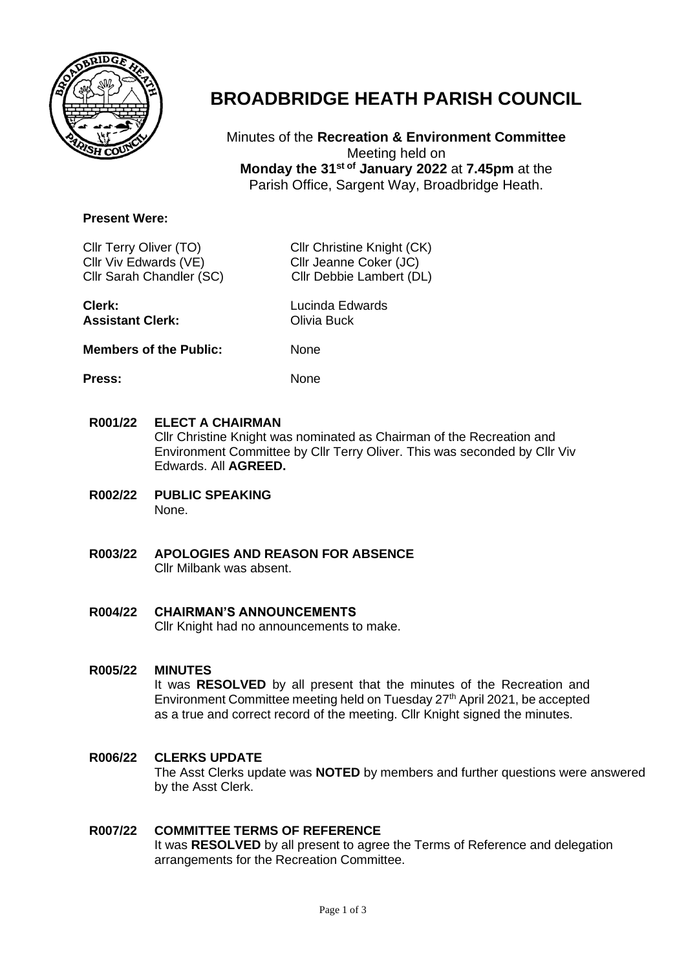

# **BROADBRIDGE HEATH PARISH COUNCIL**

Minutes of the **Recreation & Environment Committee** Meeting held on **Monday the 31st of January 2022** at **7.45pm** at the Parish Office, Sargent Way, Broadbridge Heath.

### **Present Were:**

Cllr Viv Edwards (VE) Cllr Jeanne Coker (JC)

Cllr Terry Oliver (TO) Cllr Christine Knight (CK) Cllr Sarah Chandler (SC) Cllr Debbie Lambert (DL)

| Lucinda Edwards |
|-----------------|
| Olivia Buck     |
|                 |

**Members of the Public:** None

Press: None

- **R001/22 ELECT A CHAIRMAN** Cllr Christine Knight was nominated as Chairman of the Recreation and Environment Committee by Cllr Terry Oliver. This was seconded by Cllr Viv Edwards. All **AGREED.**
- **R002/22 PUBLIC SPEAKING** None.
- **R003/22 APOLOGIES AND REASON FOR ABSENCE** Cllr Milbank was absent.
- **R004/22 CHAIRMAN'S ANNOUNCEMENTS** Cllr Knight had no announcements to make.
- **R005/22 MINUTES**  It was **RESOLVED** by all present that the minutes of the Recreation and Environment Committee meeting held on Tuesday 27<sup>th</sup> April 2021, be accepted as a true and correct record of the meeting. Cllr Knight signed the minutes.

#### **R006/22 CLERKS UPDATE**

The Asst Clerks update was **NOTED** by members and further questions were answered by the Asst Clerk.

#### **R007/22 COMMITTEE TERMS OF REFERENCE**  It was **RESOLVED** by all present to agree the Terms of Reference and delegation arrangements for the Recreation Committee.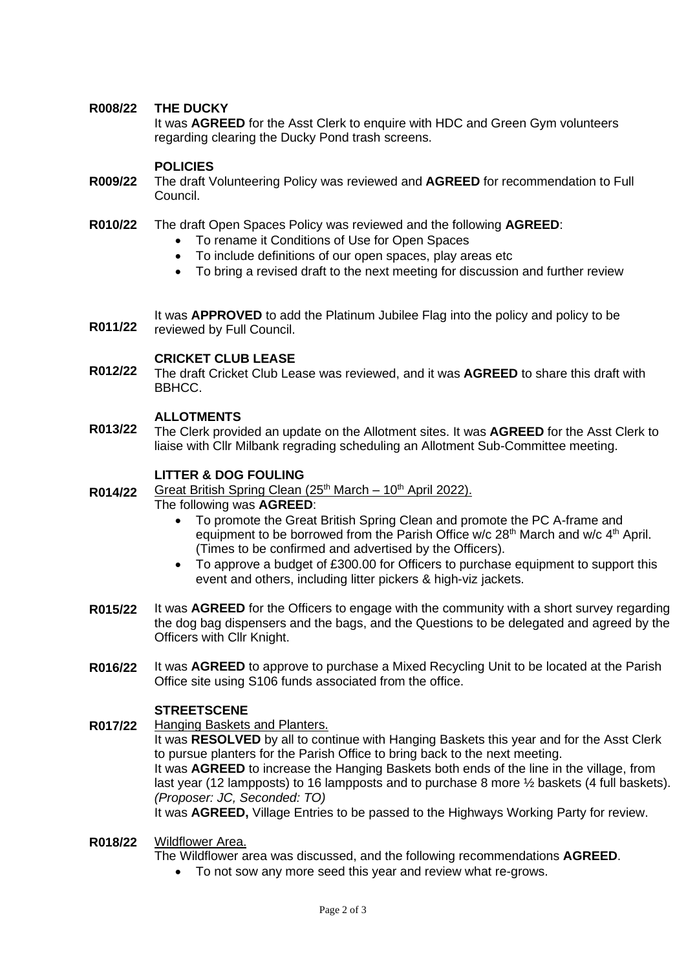#### **R008/22 THE DUCKY**

It was **AGREED** for the Asst Clerk to enquire with HDC and Green Gym volunteers regarding clearing the Ducky Pond trash screens.

### **POLICIES**

- **R009/22** The draft Volunteering Policy was reviewed and **AGREED** for recommendation to Full Council.
- **R010/22**  The draft Open Spaces Policy was reviewed and the following **AGREED**:
	- To rename it Conditions of Use for Open Spaces
	- To include definitions of our open spaces, play areas etc
	- To bring a revised draft to the next meeting for discussion and further review

**R011/22** It was **APPROVED** to add the Platinum Jubilee Flag into the policy and policy to be reviewed by Full Council.

### **CRICKET CLUB LEASE**

**R012/22** The draft Cricket Club Lease was reviewed, and it was **AGREED** to share this draft with BBHCC.

### **ALLOTMENTS**

**R013/22** The Clerk provided an update on the Allotment sites. It was **AGREED** for the Asst Clerk to liaise with Cllr Milbank regrading scheduling an Allotment Sub-Committee meeting.

# **LITTER & DOG FOULING**

**R014/22** Great British Spring Clean  $(25<sup>th</sup> March - 10<sup>th</sup> April 2022)$ .

#### The following was **AGREED**:

- To promote the Great British Spring Clean and promote the PC A-frame and equipment to be borrowed from the Parish Office w/c 28<sup>th</sup> March and w/c 4<sup>th</sup> April. (Times to be confirmed and advertised by the Officers).
- To approve a budget of £300.00 for Officers to purchase equipment to support this event and others, including litter pickers & high-viz jackets.
- **R015/22** It was **AGREED** for the Officers to engage with the community with a short survey regarding the dog bag dispensers and the bags, and the Questions to be delegated and agreed by the Officers with Cllr Knight.
- **R016/22** It was **AGREED** to approve to purchase a Mixed Recycling Unit to be located at the Parish Office site using S106 funds associated from the office.

### **STREETSCENE**

#### **R017/22** Hanging Baskets and Planters.

It was **RESOLVED** by all to continue with Hanging Baskets this year and for the Asst Clerk to pursue planters for the Parish Office to bring back to the next meeting. It was **AGREED** to increase the Hanging Baskets both ends of the line in the village, from last year (12 lampposts) to 16 lampposts and to purchase 8 more ½ baskets (4 full baskets). *(Proposer: JC, Seconded: TO)* It was **AGREED,** Village Entries to be passed to the Highways Working Party for review.

#### **R018/22**  Wildflower Area.

The Wildflower area was discussed, and the following recommendations **AGREED**.

• To not sow any more seed this year and review what re-grows.